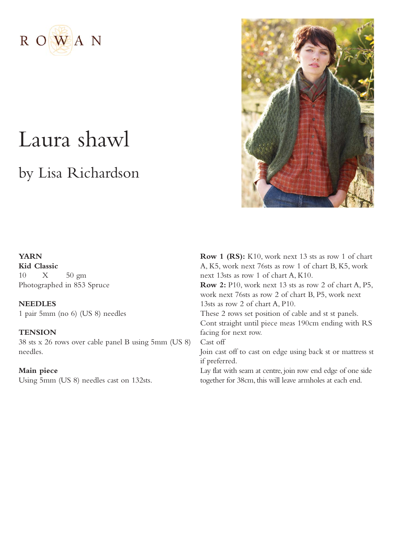

# Laura shawl

## by Lisa Richardson



### **YARN**

**Kid Classic** 10 X 50 gm Photographed in 853 Spruce

**NEEDLES** 1 pair 5mm (no 6) (US 8) needles

### **TENSION**

38 sts x 26 rows over cable panel B using 5mm (US 8) needles.

### **Main piece**

Using 5mm (US 8) needles cast on 132sts.

**Row 1 (RS):** K10, work next 13 sts as row 1 of chart A, K5, work next 76sts as row 1 of chart B, K5, work next 13sts as row 1 of chart A, K10. **Row 2:** P10, work next 13 sts as row 2 of chart A, P5, work next 76sts as row 2 of chart B, P5, work next 13sts as row 2 of chart A, P10. These 2 rows set position of cable and st st panels. Cont straight until piece meas 190cm ending with RS facing for next row. Cast off Join cast off to cast on edge using back st or mattress st if preferred. Lay flat with seam at centre, join row end edge of one side

together for 38cm, this will leave armholes at each end.